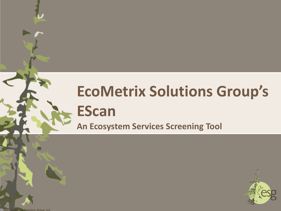# **EcoMetrix Solutions Group's EScan An Ecosystem Services Screening Tool**



**Q 2013 EcoMetrix Solutions Group, LLC**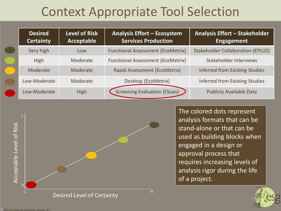# Context Appropriate Tool Selection

| <b>Desired</b><br><b>Certainty</b> | <b>Level of Risk</b><br><b>Acceptable</b> | <b>Analysis Effort - Ecosystem</b><br><b>Services Production</b> | <b>Analysis Effort - Stakeholder</b><br><b>Engagement</b> |
|------------------------------------|-------------------------------------------|------------------------------------------------------------------|-----------------------------------------------------------|
| Very high                          | Low                                       | <b>Functional Assessment (EcoMetrix)</b>                         | <b>Stakeholder Collaboration (EPLUS)</b>                  |
| <b>High</b>                        | Moderate                                  | <b>Functional Assessment (EcoMetrix)</b>                         | Stakeholder Interviews                                    |
| Moderate                           | Moderate                                  | Rapid Assessment (EcoMetrix)                                     | <b>Inferred from Existing Studies</b>                     |
| Low-Moderate                       | Moderate                                  | Desktop (EcoMetrix)                                              | <b>Inferred from Existing Studies</b>                     |
| Low-Moderate                       | High                                      | Screening Evaluation (EScan)                                     | <b>Publicly Available Data</b>                            |



The colored dots represent analysis formats that can be stand-alone or that can be used as building blocks when engaged in a design or approval process that requires increasing levels of analysis rigor during the life of a project.

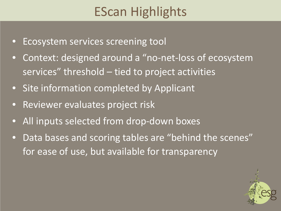# EScan Highlights

- Ecosystem services screening tool
- Context: designed around a "no-net-loss of ecosystem services" threshold – tied to project activities
- Site information completed by Applicant
- Reviewer evaluates project risk
- All inputs selected from drop-down boxes
- Data bases and scoring tables are "behind the scenes" for ease of use, but available for transparency

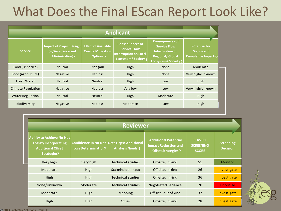# What Does the Final EScan Report Look Like?

| <b>Applicant</b>                                                                       |                 |                                                                             |                                                                                                            |                                                                                                                          |                                                                               |  |  |  |  |
|----------------------------------------------------------------------------------------|-----------------|-----------------------------------------------------------------------------|------------------------------------------------------------------------------------------------------------|--------------------------------------------------------------------------------------------------------------------------|-------------------------------------------------------------------------------|--|--|--|--|
| <b>Impact of Project Design</b><br><b>Service</b><br>(w/Avoidance and<br>Minimization) |                 | <b>Effect of Available</b><br><b>On-site Mitigation</b><br><b>Options</b> ? | <b>Consequences of</b><br><b>Service Flow</b><br><b>Interruption on Local</b><br><b>Ecosystem/Society?</b> | <b>Consequences of</b><br><b>Service Flow</b><br>Interruption on<br><b>Regional/ Global</b><br><b>Ecosystem/Society?</b> | <b>Potential for</b><br><b>Significant</b><br>Cumulative Impacts <sub>2</sub> |  |  |  |  |
| Food (Fisheries)                                                                       | Neutral         | Net gain                                                                    | High                                                                                                       | <b>None</b>                                                                                                              | Moderate                                                                      |  |  |  |  |
| Food (Agriculture)                                                                     | Negative        | Net loss                                                                    | High                                                                                                       | <b>None</b>                                                                                                              | Very high/Unknown                                                             |  |  |  |  |
| Fresh Water                                                                            | Neutral         | Neutral                                                                     | High                                                                                                       | Low                                                                                                                      | High                                                                          |  |  |  |  |
| <b>Climate Regulation</b>                                                              | <b>Negative</b> | Net loss                                                                    | Very low                                                                                                   | Low                                                                                                                      | Very high/Unknown                                                             |  |  |  |  |
| <b>Water Regulation</b>                                                                | Neutral         | Neutral                                                                     | High                                                                                                       | Moderate                                                                                                                 | High                                                                          |  |  |  |  |
| Biodiversity                                                                           | <b>Negative</b> | Net loss                                                                    | Moderate                                                                                                   | Low                                                                                                                      | High                                                                          |  |  |  |  |

|                                                                                                              |                                                            | <b>Reviewer</b>                                 |                                                                                         |                                                    |                                     |
|--------------------------------------------------------------------------------------------------------------|------------------------------------------------------------|-------------------------------------------------|-----------------------------------------------------------------------------------------|----------------------------------------------------|-------------------------------------|
| <b>Ability to Achieve No-Net-</b><br><b>Loss by Incorporating</b><br><b>Additional Offset</b><br>Strategies? | <b>Confidence in No-Net-</b><br><b>Loss Determination?</b> | Data Gaps/ Additional<br><b>Analysis Needs?</b> | <b>Additional Potential</b><br><b>Impact Reduction and</b><br><b>Offset Strategies?</b> | <b>SERVICE</b><br><b>SCREENING</b><br><b>SCORE</b> | <b>Screening</b><br><b>Decision</b> |
| Very high                                                                                                    | Very high                                                  | <b>Technical studies</b>                        | Off-site, in kind                                                                       | 51                                                 | Monitor                             |
| Moderate                                                                                                     | High                                                       | Stakeholder input                               | Off-site, in kind                                                                       | 26                                                 | Investigate                         |
| High<br>High                                                                                                 |                                                            | <b>Technical studies</b>                        | Off-site, in kind                                                                       | 36                                                 | Investigate                         |
| None/Unknown                                                                                                 | Moderate                                                   | <b>Technical studies</b>                        | Negotiated variance                                                                     | 20                                                 | <b>Prioritize</b>                   |
| High<br>Moderate                                                                                             |                                                            | <b>Mapping</b>                                  | Off-site, out of kind                                                                   | 32                                                 | Investigate                         |
| High                                                                                                         | High                                                       | Other                                           | Off-site, in kind                                                                       | 28                                                 | Investigate                         |

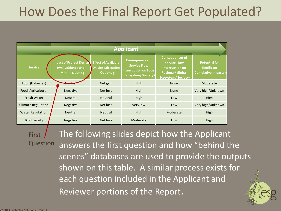# How Does the Final Report Get Populated?

| <b>Applicant</b>          |                                                                        |                                                                             |                                                                                                     |                                                                                                                                |                                                                         |  |  |  |  |
|---------------------------|------------------------------------------------------------------------|-----------------------------------------------------------------------------|-----------------------------------------------------------------------------------------------------|--------------------------------------------------------------------------------------------------------------------------------|-------------------------------------------------------------------------|--|--|--|--|
| <b>Service</b>            | <b>Impact of Project Design</b><br>(w/Avoidance and<br>Minimization) ? | <b>Effect of Available</b><br><b>On-site Mitigation</b><br><b>Options</b> ? | <b>Consequences of</b><br><b>Service Flow</b><br><b>Interruption on Local</b><br>Ecosystem/Society? | <b>Consequences of</b><br><b>Service Flow</b><br><b>Interruption on</b><br><b>Regional/Global</b><br><b>Ecosystem/Society?</b> | <b>Potential for</b><br><b>Significant</b><br><b>Cumulative Impacts</b> |  |  |  |  |
| Food (Fisheries)          | <b>IVCULID</b>                                                         | Net gain                                                                    | High                                                                                                | <b>None</b>                                                                                                                    | Moderate                                                                |  |  |  |  |
| Food (Agriculture)        | Negative                                                               | Net loss                                                                    | High                                                                                                | <b>None</b>                                                                                                                    | Very high/Unknown                                                       |  |  |  |  |
| Fresh Water               | Neutral                                                                | Neutral                                                                     | High                                                                                                | Low                                                                                                                            | High                                                                    |  |  |  |  |
| <b>Climate Regulation</b> | <b>Negative</b>                                                        | Net loss                                                                    | Very low                                                                                            | Low                                                                                                                            | Very high/Unknown                                                       |  |  |  |  |
| <b>Water Regulation</b>   | Neutral                                                                | Neutral                                                                     | High                                                                                                | Moderate                                                                                                                       | High                                                                    |  |  |  |  |
| Biodiversity              | <b>Negative</b>                                                        | Net loss                                                                    | Moderate                                                                                            | Low                                                                                                                            | High                                                                    |  |  |  |  |

The following slides depict how the Applicant answers the first question and how "behind the scenes" databases are used to provide the outputs shown on this table. A similar process exists for each question included in the Applicant and Reviewer portions of the Report. **First Question**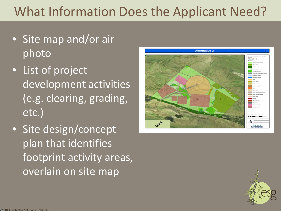# What Information Does the Applicant Need?

- Site map and/or air photo
- List of project development activities (e.g. clearing, grading, etc.)
- Site design/concept plan that identifies footprint activity areas, overlain on site map



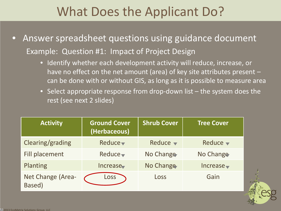## What Does the Applicant Do?

- Answer spreadsheet questions using guidance document Example: Question #1: Impact of Project Design
	- Identify whether each development activity will reduce, increase, or have no effect on the net amount (area) of key site attributes present – can be done with or without GIS, as long as it is possible to measure area
	- Select appropriate response from drop-down list the system does the rest (see next 2 slides)

| <b>Activity</b>             | <b>Ground Cover</b><br>(Herbaceous) | <b>Shrub Cover</b>          | <b>Tree Cover</b>           |  |
|-----------------------------|-------------------------------------|-----------------------------|-----------------------------|--|
| Clearing/grading            | Reduce $\blacktriangledown$         | Reduce $\blacktriangledown$ | Reduce $\blacktriangledown$ |  |
| Fill placement              | Reduce $\blacktriangledown$         | No Change                   | No Change                   |  |
| Planting                    | Increase                            | No Change                   | Increase                    |  |
| Net Change (Area-<br>Based) | Loss                                | Loss                        | Gain                        |  |

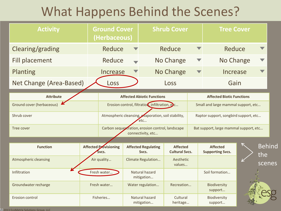# What Happens Behind the Scenes?

| <b>Activity</b>           |                                   | <b>Ground Cover</b><br>(Herbaceous)                                   |                    | <b>Shrub Cover</b>                  |                                          | <b>Tree Cover</b>                      |                                            |  |                      |
|---------------------------|-----------------------------------|-----------------------------------------------------------------------|--------------------|-------------------------------------|------------------------------------------|----------------------------------------|--------------------------------------------|--|----------------------|
| Clearing/grading          |                                   | Reduce                                                                |                    |                                     | Reduce                                   |                                        | Reduce                                     |  |                      |
| <b>Fill placement</b>     |                                   | Reduce                                                                |                    |                                     | No Change                                |                                        | No Change                                  |  |                      |
| Planting                  |                                   | Increase                                                              |                    |                                     | No Change                                |                                        | Increase                                   |  |                      |
| Net Change (Area-Based)   |                                   | Loss                                                                  |                    |                                     | Loss                                     |                                        | Gain                                       |  |                      |
| <b>Attribute</b>          | <b>Affected Abiotic Functions</b> |                                                                       |                    |                                     | <b>Affected Biotic Functions</b>         |                                        |                                            |  |                      |
| Ground cover (herbaceous) |                                   | Erosion control, filtration, infiltration, e.c                        |                    |                                     |                                          | Small and large mammal support, etc    |                                            |  |                      |
| Shrub cover               |                                   | Atmospheric cleansing, evaporation, soil stability,<br>etc            |                    |                                     |                                          | Raptor support, songbird support, etc  |                                            |  |                      |
| Tree cover                |                                   | Carbon sequestration, erosion control, landscape<br>connectivity, etc |                    |                                     |                                          | Bat support, large mammal support, etc |                                            |  |                      |
|                           |                                   |                                                                       |                    |                                     |                                          |                                        |                                            |  |                      |
| <b>Function</b>           |                                   | <b>Affected Provisioning</b><br>Svcs.                                 |                    | <b>Affected Regulating</b><br>Svcs. | <b>Affected</b><br><b>Cultural Svcs.</b> |                                        | <b>Affected</b><br><b>Supporting Svcs.</b> |  | <b>Behind</b><br>the |
| Atmospheric cleansing     | Air quality                       |                                                                       | Climate Regulation |                                     | Aesthetic<br>values                      |                                        |                                            |  | scenes               |
| Infiltration              |                                   | Fresh water                                                           |                    | Natural hazard<br>mitigation        |                                          |                                        | Soil formation                             |  |                      |
| Groundwater recharge      |                                   | Fresh water                                                           |                    | Water regulation                    | Recreation                               |                                        | Biodiversity<br>support                    |  |                      |
| Erosion control           |                                   | Fisheries                                                             |                    | Natural hazard<br>mitigation        | Cultural<br>heritage                     |                                        | Biodiversity<br>support                    |  |                      |

2013 EcoMetrix Solutions Group, LLC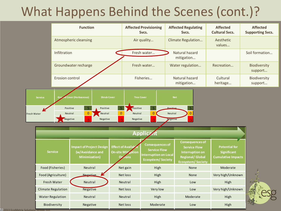### What Happens Behind the Scenes (cont.)?

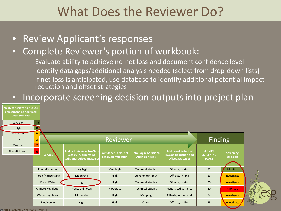#### What Does the Reviewer Do?

- Review Applicant's responses
- Complete Reviewer's portion of workbook:
	- Evaluate ability to achieve no-net loss and document confidence level
	- Identify data gaps/additional analysis needed (select from drop-down lists)
	- If net loss is anticipated, use database to identify additional potential impact reduction and offset strategies
- Incorporate screening decision outputs into project plan



2013 EcoMetrix Solutions Group, LLC